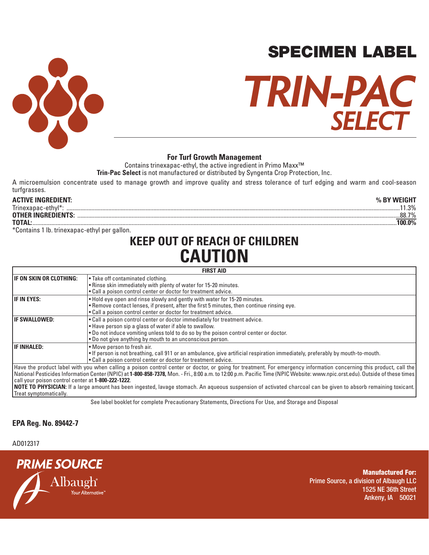

# SPECIMEN LABEL

# **SELECT TRIN-PAC**

Contains trinexapac-ethyl, the active ingredient in Primo Maxx<sup>™</sup>

**Trin-Pac Select** is not manufactured or distributed by Syngenta Crop Protection, Inc.

A microemulsion concentrate used to manage growth and improve quality and stress tolerance of turf edging and warm and cool-season turfgrasses.

% BY WEIGHT **ACTIVE INGREDIENT: % BY WEIGHT** Trinexapac-ethyl\*: .......................................................................................................................................................................................................................11.3% **OTHER INGREDIENTS:** ................................................................................................................................................................................................................88.7% **TOTAL:** ...........................................................................................................................................................................................................................................**100.0%**

\*Contains 1 lb. trinexapac-ethyl per gallon.

## **KEEP OUT OF REACH OF CHILDREN CAUTION**

#### **FIRST AID FIRST AID IF ON SKIN OR CLOTHING:** • Take off contaminated clothing. • Rinse skin immediately with plenty of water for 15-20 minutes. • Call a poison control center or doctor for treatment advice. **IF IN EYES:**<br>• Hold eye open and rinse slowly and gently with water for 15-20 minutes.<br>• Remove contact lenses, if present, after the first 5 minutes, then continue rinsing eye. • Call a poison control center or doctor for treatment advice. **IF SWALLOWED:** • Call a poison control center or doctor immediately for treatment advice. • Have person sip a glass of water if able to swallow. • Do not induce vomiting unless told to do so by the poison control center or doctor. • Do not give anything by mouth to an unconscious person. **IF INHALED:** • Move person to fresh air. • If person is not breathing, call 911 or an ambulance, give artificial respiration immediately, preferably by mouth-to-mouth. • Call a poison control center or doctor for treatment advice. Have the product label with you when calling a poison control center or doctor, or going for treatment. For emergency information concerning this product, call the National Pesticides Information Center (NPIC) at **1-800-858-7378,** Mon. - Fri., 8:00 a.m. to 12:00 p.m. Pacific Time (NPIC Website: www.npic.orst.edu). Outside of these times call your poison control center at **1-800-222-1222**. **NOTE TO PHYSICIAN:** If a large amount has been ingested, lavage stomach. An aqueous suspension of activated charcoal can be given to absorb remaining toxicant. Treat symptomatically.

See label booklet for complete Precautionary Statements, Directions For Use, and Storage and Disposal

## **EPA Reg. No. 89442-7**

## **EPA Est. No. 88746-GA-1** AD012317



**Manufactured For:** Prime Source, a division of Albaugh LLC 1525 NE 36th Street Ankeny, IA 50021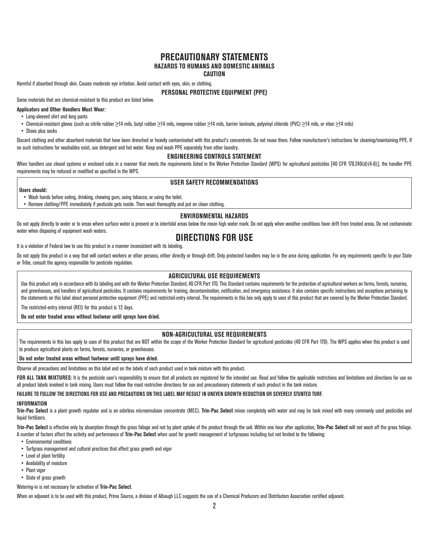#### **PRECAUTIONARY STATEMENTS HAZARDS TO HUMANS AND DOMESTIC ANIMALS CAUTION**

Harmful if absorbed through skin. Causes moderate eye irritation. Avoid contact with eyes, skin, or clothing.

#### **PERSONAL PROTECTIVE EQUIPMENT (PPE)**

Some materials that are chemical-resistant to this product are listed below.

#### **Applicators and Other Handlers Must Wear:**

• Long-sleeved shirt and long pants

• Chemical-resistant gloves (such as nitrile rubber >14 mils, butyl rubber >14 mils, neoprene rubber >14 mils, barrier laminate, polyvinyl chloride (PVC) >14 mils, or viton >14 mils)

• Shoes plus socks

Discard clothing and other absorbent materials that have been drenched or heavily contaminated with this product's concentrate. Do not reuse them. Follow manufacturer's instructions for cleaning/maintaining PPE. If no such instructions for washables exist, use detergent and hot water. Keep and wash PPE separately from other laundry.

#### **ENGINEERING CONTROLS STATEMENT**

When handlers use closed systems or enclosed cabs in a manner that meets the requirements listed in the Worker Protection Standard (WPS) for agricultural pesticides [40 CFR 170.240(d)(4-6)], the handler PPE requirements may be reduced or modified as specified in the WPS.

#### **USER SAFETY RECOMMENDATIONS**

#### **Users should:**

• Wash hands before eating, drinking, chewing gum, using tobacco, or using the toilet.

• Remove clothing/PPE immediately if pesticide gets inside. Then wash thoroughly and put on clean clothing.

#### **ENVIRONMENTAL HAZARDS**

Do not apply directly to water or to areas where surface water is present or to intertidal areas below the mean high water mark. Do not apply when weather conditions favor drift from treated areas. Do not contaminate water when disposing of equipment wash waters.

### **DIRECTIONS FOR USE**

It is a violation of Federal law to use this product in a manner inconsistent with its labeling.

Do not apply this product in a way that will contact workers or other persons, either directly or through drift. Only protected handlers may be in the area during application. For any requirements specific to your State or Tribe, consult the agency responsible for pesticide regulation.

#### **AGRICULTURAL USE REQUIREMENTS**

Use this product only in accordance with its labeling and with the Worker Protection Standard, 40 CFR Part 170. This Standard contains requirements for the protection of agricultural workers on farms, forests, nurseries, and greenhouses, and handlers of agricultural pesticides. It contains requirements for training, decontamination, notification, and emergency assistance. It also contains specific instructions and exceptions pertaining to the statements on this label about personal protective equipment (PPE) and restricted-entry interval. The requirements in this box only apply to uses of this product that are covered by the Worker Protection Standard.

The restricted-entry interval (REI) for this product is 12 days.

**Do not enter treated areas without footwear until sprays have dried.**

#### **NON-AGRICULTURAL USE REQUIREMENTS**

The requirements in this box apply to uses of this product that are NOT within the scope of the Worker Protection Standard for agricultural pesticides (40 CFR Part 170). The WPS applies when this product is used to produce agricultural plants on farms, forests, nurseries, or greenhouses.

#### **Do not enter treated areas without footwear until sprays have dried.**

Observe all precautions and limitations on this label and on the labels of each product used in tank mixture with this product.

FOR ALL TANK MIXTURES: It is the pesticide user's responsibility to ensure that all products are registered for the intended use. Read and follow the applicable restrictions and limitations and directions for use on all product labels involved in tank mixing. Users must follow the most restrictive directions for use and precautionary statements of each product in the tank mixture.

#### **FAILURE TO FOLLOW THE DIRECTIONS FOR USE AND PRECAUTIONS ON THIS LABEL MAY RESULT IN UNEVEN GROWTH REDUCTION OR SEVERELY STUNTED TURF.**

#### **INFORMATION**

**Trin-Pac Select** is a plant growth regulator and is an odorless microemulsion concentrate (MEC). **Trin-Pac Select** mixes completely with water and may be tank mixed with many commonly used pesticides and liquid fertilizers.

Trin-Pac Select is effective only by absorption through the grass foliage and not by plant uptake of the product through the soil. Within one hour after application, Trin-Pac Select will not wash off the grass foliage. A number of factors affect the activity and performance of **Trin-Pac Select** when used for growth management of turfgrasses including but not limited to the following:

- Environmental conditions
- Turfgrass management and cultural practices that affect grass growth and vigor
- Level of plant fertility
- Availability of moisture
- Plant vigor
- State of grass growth

#### Watering-in is not necessary for activation of **Trin-Pac Select**.

When an adjuvant is to be used with this product. Prime Source, a division of Albaugh LLC suggests the use of a Chemical Producers and Distributors Association certified adjuvant.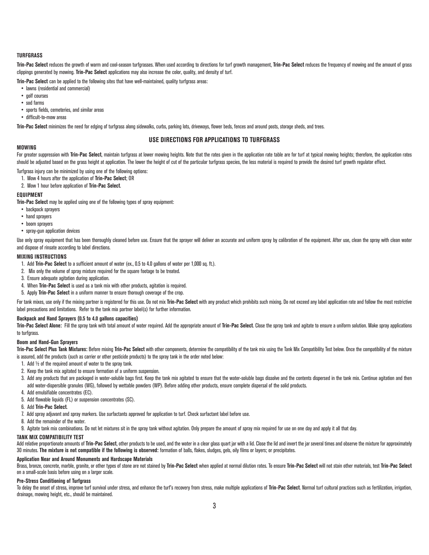#### **TURFGRASS**

**Trin-Pac Select** reduces the growth of warm and cool-season turfgrasses. When used according to directions for turf growth management, **Trin-Pac Select** reduces the frequency of mowing and the amount of grass clippings generated by mowing. **Trin-Pac Select** applications may also increase the color, quality, and density of turf.

**Trin-Pac Select** can be applied to the following sites that have well-maintained, quality turfgrass areas:

- lawns (residential and commercial)
- golf courses
- sod farms
- sports fields, cemeteries, and similar areas
- difficult-to-mow areas

**Trin-Pac Select** minimizes the need for edging of turfgrass along sidewalks, curbs, parking lots, driveways, flower beds, fences and around posts, storage sheds, and trees.

#### **USE DIRECTIONS FOR APPLICATIONS TO TURFGRASS**

#### **MOWING**

For greater suppression with Trin-Pac Select, maintain turfgrass at lower mowing heights. Note that the rates given in the application rate table are for turf at typical mowing heights; therefore, the application rates should be adjusted based on the grass height at application. The lower the height of cut of the particular turfgrass species, the less material is required to provide the desired turf growth regulator effect.

Turfgrass injury can be minimized by using one of the following options:

- 1. Mow 4 hours after the application of **Trin-Pac Select**; OR
- 2. Mow 1 hour before application of **Trin-Pac Select**.

#### **EQUIPMENT**

**Trin-Pac Select** may be applied using one of the following types of spray equipment:

- backpack sprayers
- hand sprayers
- boom sprayers
- spray-gun application devices

Use only spray equipment that has been thoroughly cleaned before use. Ensure that the sprayer will deliver an accurate and uniform spray by calibration of the equipment. After use, clean the spray with clean water and dispose of rinsate according to label directions.

#### **MIXING INSTRUCTIONS**

- 1. Add **Trin-Pac Select** to a sufficient amount of water (ex., 0.5 to 4.0 gallons of water per 1,000 sq. ft.).
- 2. Mix only the volume of spray mixture required for the square footage to be treated.
- 3. Ensure adequate agitation during application.
- 4. When **Trin-Pac Select** is used as a tank mix with other products, agitation is required.
- 5. Apply **Trin-Pac Select** in a uniform manner to ensure thorough coverage of the crop.

For tank mixes, use only if the mixing partner is registered for this use. Do not mix Trin-Pac Select with any product which prohibits such mixing. Do not exceed any label application rate and follow the most restrictive label precautions and limitations. Refer to the tank mix partner label(s) for further information.

#### **Backpack and Hand Sprayers (0.5 to 4.0 gallons capacities)**

Trin-Pac Select Alone: Fill the spray tank with total amount of water required. Add the appropriate amount of Trin-Pac Select. Close the spray tank and agitate to ensure a uniform solution. Make spray applications to turfgrass.

#### **Boom and Hand-Gun Sprayers**

Trin-Pac Select Plus Tank Mixtures: Before mixing Trin-Pac Select with other components, determine the compatibility of the tank mix using the Tank Mix Compatibility Test below. Once the compatibility of the mixture is assured, add the products (such as carrier or other pesticide products) to the spray tank in the order noted below:

- 1. Add ½ of the required amount of water to the spray tank.
- 2. Keep the tank mix agitated to ensure formation of a uniform suspension.
- 3. Add any products that are packaged in water-soluble bags first. Keep the tank mix agitated to ensure that the water-soluble bags dissolve and the contents dispersed in the tank mix. Continue agitation and then add water-dispersible granules (WG), followed by wettable powders (WP). Before adding other products, ensure complete dispersal of the solid products.
- 4. Add emulsifiable concentrates (EC).
- 5. Add flowable liquids (FL) or suspension concentrates (SC).
- 6. Add **Trin-Pac Select**.
- 7. Add spray adjuvant and spray markers. Use surfactants approved for application to turf. Check surfactant label before use.
- 8. Add the remainder of the water.

9. Agitate tank mix combinations. Do not let mixtures sit in the spray tank without agitation. Only prepare the amount of spray mix required for use on one day and apply it all that day.

#### **TANK MIX COMPATIBILITY TEST**

Add relative proportionate amounts of Trin-Pac Select, other products to be used, and the water in a clear glass quart jar with a lid. Close the lid and invert the jar several times and observe the mixture for approximatel 30 minutes. **The mixture is not compatible if the following is observed:** formation of balls, flakes, sludges, gels, oily films or layers; or precipitates.

#### **Application Near and Around Monuments and Hardscape Materials**

Brass, bronze, concrete, marble, granite, or other types of stone are not stained by Trin-Pac Select when applied at normal dilution rates. To ensure Trin-Pac Select will not stain other materials, test Trin-Pac Select on a small-scale basis before using on a larger scale.

#### **Pre-Stress Conditioning of Turfgrass**

To delay the onset of stress, improve turf survival under stress, and enhance the turf's recovery from stress, make multiple applications of Trin-Pac Select. Normal turf cultural practices such as fertilization, irrigation drainage, mowing height, etc., should be maintained.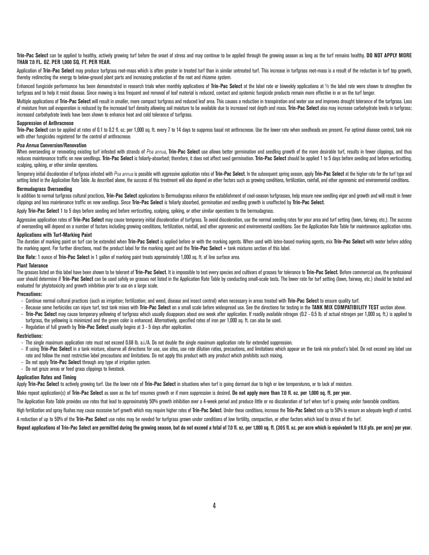**Trin-Pac Select** can be applied to healthy, actively growing turf before the onset of stress and may continue to be applied through the growing season as long as the turf remains healthy. **DO NOT APPLY MORE THAN 7.0 FL. OZ. PER 1,000 SQ. FT. PER YEAR.** 

Application of Trin-Pac Select may produce turfgrass root-mass which is often greater in treated turf than in similar untreated turf. This increase in turfgrass root-mass is a result of the reduction in turf top growth, thereby redirecting the energy to below-ground plant parts and increasing production of the root and rhizome system.

Enhanced fungicide performance has been demonstrated in research trials when monthly applications of **Trin-Pac Select** at the label rate or biweekly applications at 1/2 the label rate were shown to strengthen the turfgrass and to help it resist disease. Since mowing is less frequent and removal of leaf material is reduced, contact and systemic fungicide products remain more effective in or on the turf longer.

Multiple applications of Trin-Pac Select will result in smaller, more compact turfgrass and reduced leaf area. This causes a reduction in transpiration and water use and improves drought tolerance of the turfgrass. Loss of moisture from soil evaporation is reduced by the increased turf density allowing soil moisture to be available due to increased root depth and mass. Trin-Pac Select also may increase carbohydrate levels in turforass; increased carbohydrate levels have been shown to enhance heat and cold tolerance of turfgrass.

#### **Suppression of Anthracnose**

Trin-Pac Select can be applied at rates of 0.1 to 0.2 fl. oz. per 1.000 sq. ft. every 7 to 14 days to suppress basal rot anthracnose. Use the lower rate when seedheads are present. For optimal disease control, tank mix with other fungicides registered for the control of anthracnose.

#### *Poa Annua* **Conversion/Renovation**

When overseeding or renovating existing turf infested with strands of Poa annua, **Trin-Pac Select** use allows better germination and seedling growth of the more desirable turf, results in fewer clippings, and thus reduces maintenance traffic on new seedlings. Trin-Pac Select is foliarly-absorbed; therefore, it does not affect seed germination. Trin-Pac Select should be applied 1 to 5 days before seeding and before verticutting, scalping, spiking, or other similar operations.

Temporary initial discoloration of turfgrass infested with Poa annua is possible with aggressive application rates of Trin-Pac Select. In the subsequent spring season, apply Trin-Pac Select at the higher rate for the turf setting listed in the Application Rate Table. As described above, the success of this treatment will also depend on other factors such as growing conditions, fertilization, rainfall, and other agronomic and environmental c

#### **Bermudagrass Overseeding**

In addition to normal turfgrass cultural practices, **Trin-Pac Select** applications to Bermudagrass enhance the establishment of cool-season turfgrasses, help ensure new seedling vigor and growth and will result in fewer clippings and less maintenance traffic on new seedlings. Since **Trin-Pac Select** is foliarly absorbed, germination and seedling growth is unaffected by **Trin-Pac Select**.

Apply **Trin-Pac Select** 1 to 5 days before seeding and before verticutting, scalping, spiking, or other similar operations to the bermudagrass.

Aggressive application rates of Trin-Pac Select may cause temporary initial discoloration of turfgrass. To avoid discoloration, use the normal seeding rates for your area and turf setting (lawn, fairway, etc.). The success of overseeding will depend on a number of factors including growing conditions, fertilization, rainfall, and other agronomic and environmental conditions. See the Application Rate Table for maintenance application rates.

#### **Applications with Turf-Marking Paint**

The duration of marking paint on turf can be extended when **Trin-Pac Select** is applied before or with the marking agents. When used with latex-based marking agents, mix **Trin-Pac Select** with water before adding the marking agent. For further directions, read the product label for the marking agent and the **Trin-Pac Select** + tank mixtures section of this label.

**Use Rate:** 1 ounce of **Trin-Pac Select** in 1 gallon of marking paint treats approximately 1,000 sq. ft. of line surface area.

#### **Plant Tolerance**

The grasses listed on this label have been shown to be tolerant of Trin-Pac Select. It is impossible to test every species and cultivars of grasses for tolerance to Trin-Pac Select. Before commercial use, the professional user should determine if Trin-Pac Select can be used safely on grasses not listed in the Application Rate Table by conducting small-scale tests. The lower rate for turf setting (lawn, fairway, etc.) should be tested and evaluated for phytotoxicity and growth inhibition prior to use on a large scale.

#### **Precautions:**

- Continue normal cultural practices (such as irrigation; fertilization; and weed, disease and insect control) when necessary in areas treated with **Trin-Pac Select** to ensure quality turf.
- Because some herbicides can injure turf, test tank mixes with **Trin-Pac Select** on a small scale before widespread use. See the directions for testing in the **TANK MIX COMPATIBILITY TEST** section above.
- **Trin-Pac Select** may cause temporary yellowing of turfgrass which usually disappears about one week after application. If readily available nitrogen (0.2 0.5 lb. of actual nitrogen per 1,000 sq. ft.) is applied to turfgrass, the yellowing is minimized and the green color is enhanced. Alternatively, specified rates of iron per 1,000 sq. ft. can also be used.
- Regulation of full growth by **Trin-Pac Select** usually begins at 3 5 days after application.

#### **Restrictions:**

- The single maximum application rate must not exceed 0.68 lb. a.i./A. Do not double the single maximum application rate for extended suppression.
- If using **Trin-Pac Select** in a tank mixture, observe all directions for use, use sites, use rate dilution ratios, precautions, and limitations which appear on the tank mix product's label. Do not exceed any label use rate and follow the most restrictive label precautions and limitations. Do not apply this product with any product which prohibits such mixing.
- Do not apply **Trin-Pac Select** through any type of irrigation system.
- Do not graze areas or feed grass clippings to livestock.

#### **Application Rates and Timing**

Apply **Trin-Pac Select** to actively growing turf. Use the lower rate of **Trin-Pac Select** in situations when turf is going dormant due to high or low temperatures, or to lack of moisture.

Make repeat application(s) of **Trin-Pac Select** as soon as the turf resumes growth or if more suppression is desired. **Do not apply more than 7.0 fl. oz. per 1,000 sq. ft. per year.** 

The Application Rate Table provides use rates that lead to approximately 50% growth inhibition over a 4-week period and produce little or no discoloration of turf when turf is growing under favorable conditions.

High fertilization and spray flushes may cause excessive turf growth which may require higher rates of Trin-Pac Select. Under these conditions, increase the Trin-Pac Select rate up to 50% to ensure an adequate length of co A reduction of up to 50% of the **Trin-Pac Select** use rates may be needed for turfgrass grown under conditions of low fertility, compaction, or other factors which lead to stress of the turf.

**Repeat applications of Trin-Pac Select are permitted during the growing season, but do not exceed a total of 7.0 fl. oz. per 1,000 sq. ft. (305 fl. oz. per acre which is equivalent to 19.0 pts. per acre) per year.**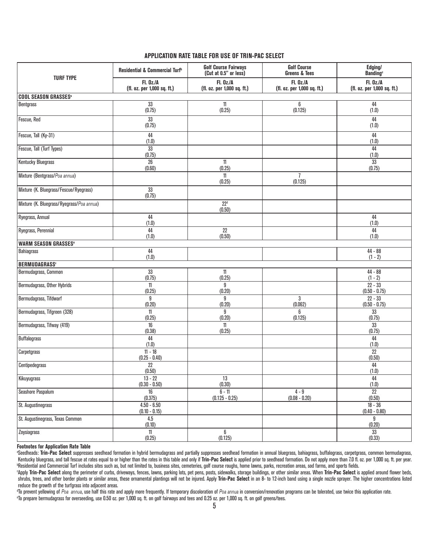#### **APPLICATION RATE TABLE FOR USE OF TRIN-PAC SELECT**

| <b>TURF TYPE</b>                          | Residential & Commercial Turf <sup>b</sup>      | <b>Golf Course Fairways</b><br>(Cut at 0.5" or less) | <b>Golf Course</b><br><b>Greens &amp; Tees</b>  | Edging/<br><b>Banding</b> <sup>c</sup>          |
|-------------------------------------------|-------------------------------------------------|------------------------------------------------------|-------------------------------------------------|-------------------------------------------------|
|                                           | <b>FI. Oz./A</b><br>(fl. oz. per 1,000 sq. ft.) | <b>FI. Oz./A</b><br>(fl. oz. per 1,000 sq. ft.)      | <b>Fl. Oz./A</b><br>(fl. oz. per 1,000 sq. ft.) | <b>FI. Oz./A</b><br>(fl. oz. per 1,000 sq. ft.) |
| <b>COOL SEASON GRASSES<sup>®</sup></b>    |                                                 |                                                      |                                                 |                                                 |
| Bentgrass                                 | 33<br>(0.75)                                    | 11<br>(0.25)                                         | 6<br>(0.125)                                    | 44<br>(1.0)                                     |
| Fescue, Red                               | 33<br>(0.75)                                    |                                                      |                                                 | 44<br>(1.0)                                     |
| Fescue, Tall (Ky-31)                      | 44<br>(1.0)                                     |                                                      |                                                 | 44<br>(1.0)                                     |
| Fescue, Tall (Turf Types)                 | 33<br>(0.75)                                    |                                                      |                                                 | 44<br>(1.0)                                     |
| <b>Kentucky Bluegrass</b>                 | 26<br>(0.60)                                    | $11\,$<br>(0.25)                                     |                                                 | 33<br>(0.75)                                    |
| Mixture (Bentgrass/Poa annua)             |                                                 | 11<br>(0.25)                                         | $\overline{1}$<br>(0.125)                       |                                                 |
| Mixture (K. Bluegrass/Fescue/Ryegrass)    | 33<br>(0.75)                                    |                                                      |                                                 |                                                 |
| Mixture (K. Bluegrass/Ryegrass/Poa annua) |                                                 | 22 <sup>d</sup><br>(0.50)                            |                                                 |                                                 |
| Ryegrass, Annual                          | 44<br>(1.0)                                     |                                                      |                                                 | 44<br>(1.0)                                     |
| Ryegrass, Perennial                       | 44<br>(1.0)                                     | 22<br>(0.50)                                         |                                                 | 44<br>(1.0)                                     |
| <b>WARM SEASON GRASSES<sup>®</sup></b>    |                                                 |                                                      |                                                 |                                                 |
| Bahiagrass                                | 44<br>(1.0)                                     |                                                      |                                                 | $44 - 88$<br>$(1 - 2)$                          |
| <b>BERMUDAGRASS<sup>®</sup></b>           |                                                 |                                                      |                                                 |                                                 |
| Bermudagrass, Common                      | 33<br>(0.75)                                    | $11\,$<br>(0.25)                                     |                                                 | $44 - 88$<br>$(1 - 2)$                          |
| Bermudagrass, Other Hybrids               | 11<br>(0.25)                                    | 9<br>(0.20)                                          |                                                 | $22 - 33$<br>$(0.50 - 0.75)$                    |
| Bermudagrass, Tifdwarf                    | 9<br>(0.20)                                     | 9<br>(0.20)                                          | 3<br>(0.062)                                    | $22 - 33$<br>$(0.50 - 0.75)$                    |
| Bermudagrass, Tifgreen (328)              | 11<br>(0.25)                                    | 9<br>(0.20)                                          | 6<br>(0.125)                                    | 33<br>(0.75)                                    |
| Bermudagrass, Tifway (419)                | 16<br>(0.38)                                    | 11<br>(0.25)                                         |                                                 | 33<br>(0.75)                                    |
| <b>Buffalograss</b>                       | 44<br>(1.0)                                     |                                                      |                                                 | 44<br>(1.0)                                     |
| Carpetgrass                               | $11 - 18$<br>$(0.25 - 0.40)$                    |                                                      |                                                 | $\overline{22}$<br>(0.50)                       |
| Centipedegrass                            | 22<br>(0.50)                                    |                                                      |                                                 | 44<br>(1.0)                                     |
| Kikuyugrass                               | $13 - 22$<br>$(0.30 - 0.50)$                    | 13<br>(0.30)                                         |                                                 | 44<br>(1.0)                                     |
| Seashore Paspalum                         | $\overline{16}$<br>(0.375)                      | $6 - 11$<br>$(0.125 - 0.25)$                         | $4 - 9$<br>$(0.08 - 0.20)$                      | $\overline{22}$<br>(0.50)                       |
| St. Augustinegrass                        | $4.50 - 6.50$<br>$(0.10 - 0.15)$                |                                                      |                                                 | $18 - 36$<br>$(0.40 - 0.80)$                    |
| St. Augustinegrass, Texas Common          | 4.5<br>(0.10)                                   |                                                      |                                                 | 9<br>(0.20)                                     |
| Zoysiagrass                               | 11<br>(0.25)                                    | 6<br>(0.125)                                         |                                                 | 33<br>(0.33)                                    |

#### **Footnotes for Application Rate Table**

<sup>a</sup>Seedheads: **Trin-Pac Select** suppresses seedhead formation in hybrid bermudagrass and partially suppresses seedhead formation in annual bluegrass, bahiagrass, buffalograss, carpetgrass, common bermudagrass,<br>Kentucky blu <sup>b</sup>Residential and Commercial Turf includes sites such as, but not limited to, business sites, cemeteries, golf course roughs, home lawns, parks, recreation areas, sod farms, and sports fields.

Apply Trin-Pac Select along the perimeter of curbs, driveways, fences, lawns, parking lots, pet pens, posts, sidewalks, storage buildings, or other similar areas. When Trin-Pac Select is applied around flower beds, shrubs, trees, and other border plants or similar areas, these ornamental plantings will not be injured. Apply **Trin-Pac Select** in an 8- to 12-inch band using a single nozzle sprayer. The higher concentrations listed reduce the growth of the turfgrass into adjacent areas.

<sup>d</sup> To prevent yellowing of Poa annua, use half this rate and apply more frequently. If temporary discoloration of Poa annua in conversion/renovation programs can be tolerated, use twice this application rate.

e To prepare bermudagrass for overseeding, use 0.50 oz. per 1,000 sq. ft. on golf fairways and tees and 0.25 oz. per 1,000 sq. ft. on golf greens/tees.